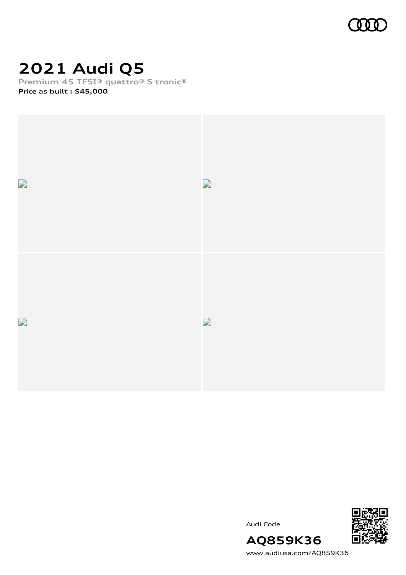

# **2021 Audi Q5**

**Premium 45 TFSI® quattro® S tronic®**

**Price as built [:](#page-10-0) \$45,000**







[www.audiusa.com/AQ859K36](https://www.audiusa.com/AQ859K36)

**AQ859K36**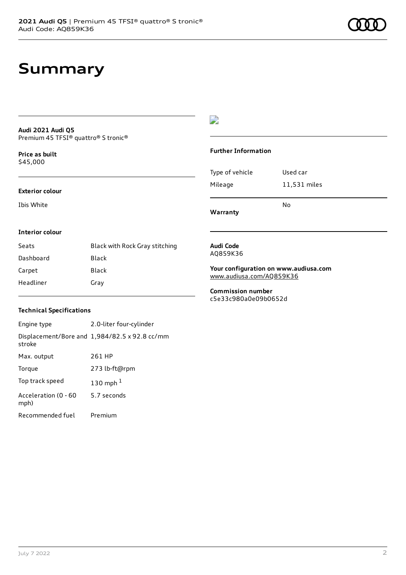# **Summary**

#### **Audi 2021 Audi Q5** Premium 45 TFSI® quattro® S tronic®

**Price as buil[t](#page-10-0)** \$45,000

#### **Exterior colour**

Ibis White

## $\overline{\phantom{a}}$

#### **Further Information**

|                 | No           |
|-----------------|--------------|
| Mileage         | 11,531 miles |
| Type of vehicle | Used car     |

**Warranty**

#### **Interior colour**

| Seats     | Black with Rock Gray stitching |
|-----------|--------------------------------|
| Dashboard | Black                          |
| Carpet    | Black                          |
| Headliner | Gray                           |

#### **Audi Code** AQ859K36

**Your configuration on www.audiusa.com** [www.audiusa.com/AQ859K36](https://www.audiusa.com/AQ859K36)

**Commission number** c5e33c980a0e09b0652d

### **Technical Specifications**

| Engine type                  | 2.0-liter four-cylinder                       |
|------------------------------|-----------------------------------------------|
| stroke                       | Displacement/Bore and 1,984/82.5 x 92.8 cc/mm |
| Max. output                  | 261 HP                                        |
| Torque                       | 273 lb-ft@rpm                                 |
| Top track speed              | 130 mph $1$                                   |
| Acceleration (0 - 60<br>mph) | 5.7 seconds                                   |
| Recommended fuel             | Premium                                       |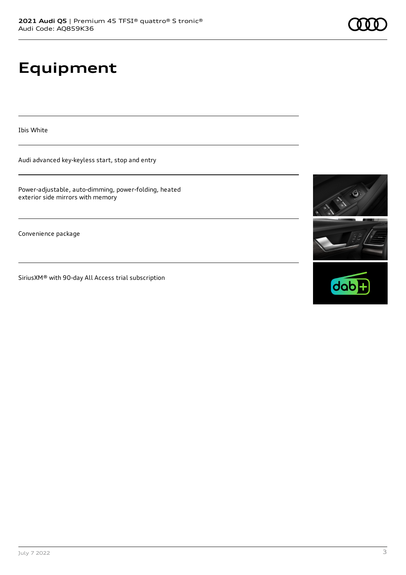# **Equipment**

Ibis White

Audi advanced key-keyless start, stop and entry

Power-adjustable, auto-dimming, power-folding, heated exterior side mirrors with memory

Convenience package

SiriusXM® with 90-day All Access trial subscription





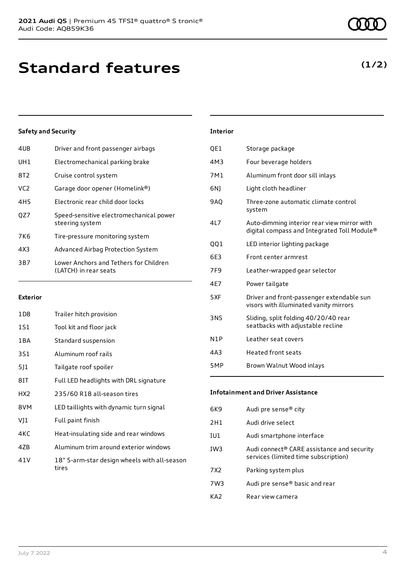| 4UB             | Driver and front passenger airbags                              |
|-----------------|-----------------------------------------------------------------|
| UH1             | Electromechanical parking brake                                 |
| 8T2             | Cruise control system                                           |
| VC <sub>2</sub> | Garage door opener (Homelink®)                                  |
| 4H <sub>5</sub> | Electronic rear child door locks                                |
| OZ7             | Speed-sensitive electromechanical power<br>steering system      |
| 7K6             | Tire-pressure monitoring system                                 |
| 4X3             | Advanced Airbag Protection System                               |
| 3B7             | Lower Anchors and Tethers for Children<br>(LATCH) in rear seats |
|                 |                                                                 |

#### **Exterior**

| 1D8             | Trailer hitch provision                               |
|-----------------|-------------------------------------------------------|
| 1S1             | Tool kit and floor jack                               |
| 1 B A           | Standard suspension                                   |
| 3S1             | Aluminum roof rails                                   |
| 511             | Tailgate roof spoiler                                 |
| 8IT             | Full LED headlights with DRL signature                |
| HX <sub>2</sub> | 235/60 R18 all-season tires                           |
| 8VM             | LED taillights with dynamic turn signal               |
| VJ1             | Full paint finish                                     |
| 4KC             | Heat-insulating side and rear windows                 |
| 4ZB             | Aluminum trim around exterior windows                 |
| 41 V            | 18" 5-arm-star design wheels with all-season<br>tires |

# **Interior**

| QE1 | Storage package                                                                            |
|-----|--------------------------------------------------------------------------------------------|
| 4M3 | Four beverage holders                                                                      |
| 7M1 | Aluminum front door sill inlays                                                            |
| 6N) | Light cloth headliner                                                                      |
| 9AQ | Three-zone automatic climate control<br>system                                             |
| 417 | Auto-dimming interior rear view mirror with<br>digital compass and Integrated Toll Module® |
| QQ1 | LED interior lighting package                                                              |
| 6E3 | Front center armrest                                                                       |
| 7F9 | Leather-wrapped gear selector                                                              |
| 4E7 | Power tailgate                                                                             |
| 5XF | Driver and front-passenger extendable sun<br>visors with illuminated vanity mirrors        |
| 3NS | Sliding, split folding 40/20/40 rear<br>seatbacks with adjustable recline                  |
| N1P | Leather seat covers                                                                        |
| 4A3 | <b>Heated front seats</b>                                                                  |
| 5MP | Brown Walnut Wood inlays                                                                   |

## **Infotainment and Driver Assistance**

| 6K9             | Audi pre sense® city                                                               |
|-----------------|------------------------------------------------------------------------------------|
| 2H1             | Audi drive select                                                                  |
| IU1             | Audi smartphone interface                                                          |
| IW3             | Audi connect® CARE assistance and security<br>services (limited time subscription) |
| 7X <sub>2</sub> | Parking system plus                                                                |
| 7W3             | Audi pre sense® basic and rear                                                     |
| KA7             | Rear view camera                                                                   |

**(1/2)**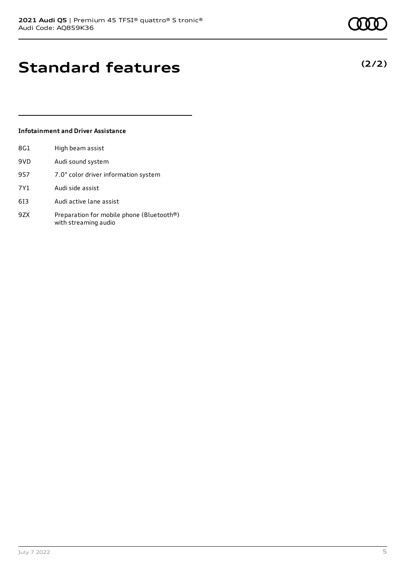# **Standard features**

## **Infotainment and Driver Assistance**

| 8G1 | High beam assist                                                  |
|-----|-------------------------------------------------------------------|
| 9VD | Audi sound system                                                 |
| 9S7 | 7.0" color driver information system                              |
| 7Y1 | Audi side assist                                                  |
| 613 | Audi active lane assist                                           |
| 9ZX | Preparation for mobile phone (Bluetooth®)<br>with streaming audio |

# **(2/2)**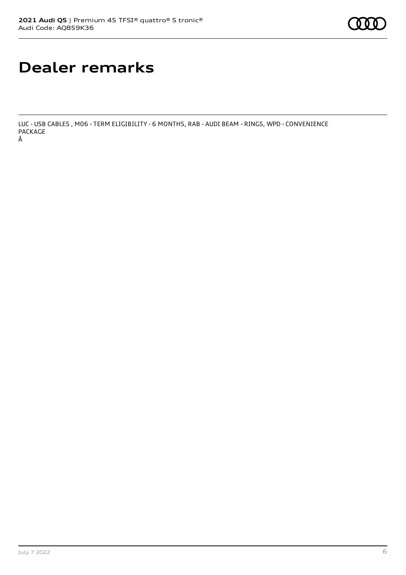# **Dealer remarks**

LUC - USB CABLES , M06 - TERM ELIGIBILITY - 6 MONTHS, RAB - AUDI BEAM - RINGS, WPD - CONVENIENCE PACKAGE Â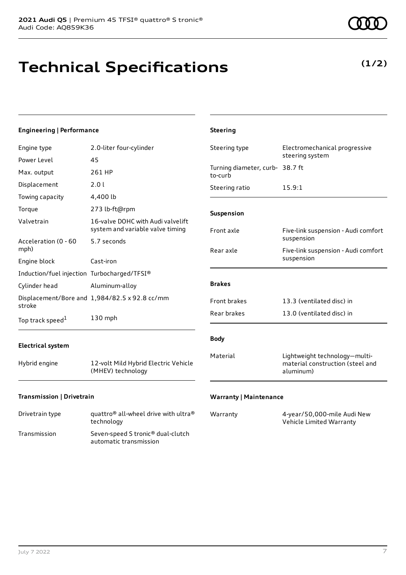# **Technical Specifications**

**(1/2)**

| <b>Engineering   Performance</b>            |                                                                       | <b>Steering</b>                            |                                                                                |
|---------------------------------------------|-----------------------------------------------------------------------|--------------------------------------------|--------------------------------------------------------------------------------|
| Engine type                                 | 2.0-liter four-cylinder                                               | Steering type                              | Electromechanical progressive<br>steering system                               |
| Power Level                                 | 45                                                                    |                                            |                                                                                |
| Max. output                                 | 261 HP                                                                | Turning diameter, curb- 38.7 ft<br>to-curb |                                                                                |
| Displacement                                | 2.0 l                                                                 | Steering ratio                             | 15.9:1                                                                         |
| Towing capacity                             | 4,400 lb                                                              |                                            |                                                                                |
| Torque                                      | 273 lb-ft@rpm                                                         | Suspension                                 |                                                                                |
| Valvetrain                                  | 16-valve DOHC with Audi valvelift<br>system and variable valve timing | Front axle                                 | Five-link suspension - Audi comfort                                            |
| Acceleration (0 - 60<br>mph)                | 5.7 seconds                                                           | Rear axle                                  | suspension<br>Five-link suspension - Audi comfort                              |
| Engine block                                | Cast-iron                                                             |                                            | suspension                                                                     |
| Induction/fuel injection Turbocharged/TFSI® |                                                                       |                                            |                                                                                |
| Cylinder head                               | Aluminum-alloy                                                        | <b>Brakes</b>                              |                                                                                |
| stroke                                      | Displacement/Bore and 1,984/82.5 x 92.8 cc/mm                         | Front brakes                               | 13.3 (ventilated disc) in                                                      |
| Top track speed <sup>1</sup>                | 130 mph                                                               | Rear brakes                                | 13.0 (ventilated disc) in                                                      |
| <b>Electrical system</b>                    |                                                                       | <b>Body</b>                                |                                                                                |
| Hybrid engine                               | 12-volt Mild Hybrid Electric Vehicle<br>(MHEV) technology             | Material                                   | Lightweight technology-multi-<br>material construction (steel and<br>aluminum) |
| Transmission   Drivetrain                   |                                                                       | <b>Warranty   Maintenance</b>              |                                                                                |

| Drivetrain type | quattro <sup>®</sup> all-wheel drive with ultra <sup>®</sup><br>technology |
|-----------------|----------------------------------------------------------------------------|
| Transmission    | Seven-speed S tronic <sup>®</sup> dual-clutch<br>automatic transmission    |

| Warranty | 4-year/50,000-mile Audi New |
|----------|-----------------------------|
|          | Vehicle Limited Warranty    |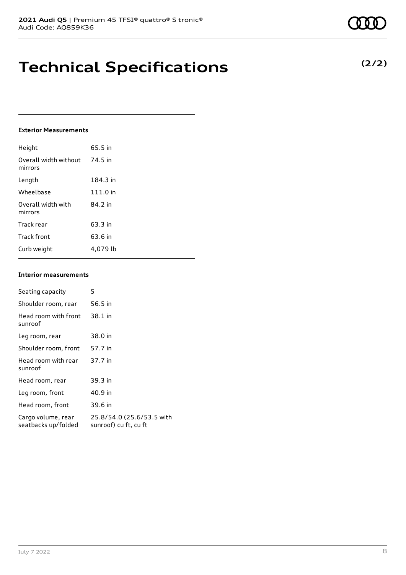# **Technical Specifications**

#### **Exterior Measurements**

| Height                           | 65.5 in  |
|----------------------------------|----------|
| Overall width without<br>mirrors | 74.5 in  |
| Length                           | 184.3 in |
| Wheelbase                        | 111.0 in |
| Overall width with<br>mirrors    | 84.2 in  |
| Track rear                       | 63.3 in  |
| Track front                      | 63.6 in  |
| Curb weight                      | 4.079 lb |

#### **Interior measurements**

| Seating capacity                          | 5                                                  |
|-------------------------------------------|----------------------------------------------------|
| Shoulder room, rear                       | 56.5 in                                            |
| Head room with front<br>sunroof           | 38.1 in                                            |
| Leg room, rear                            | 38.0 in                                            |
| Shoulder room, front                      | 57.7 in                                            |
| Head room with rear<br>sunroof            | 37.7 in                                            |
| Head room, rear                           | 39.3 in                                            |
| Leg room, front                           | 40.9 in                                            |
| Head room, front                          | 39.6 in                                            |
| Cargo volume, rear<br>seatbacks up/folded | 25.8/54.0 (25.6/53.5 with<br>sunroof) cu ft, cu ft |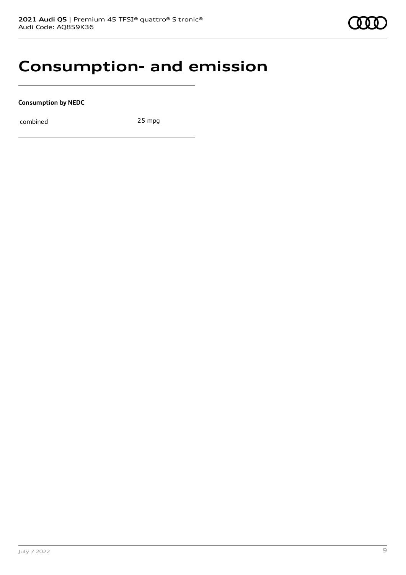# **Consumption- and emission**

**Consumption by NEDC**

combined 25 mpg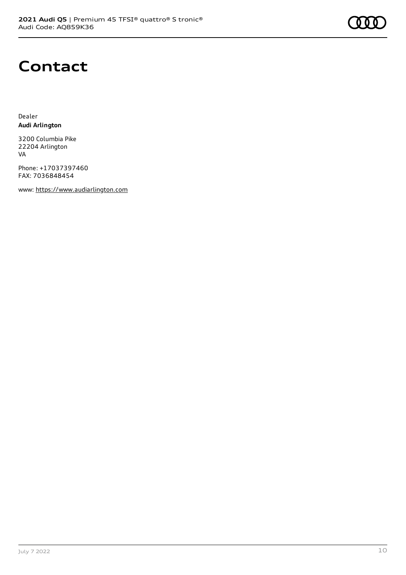

# **Contact**

Dealer **Audi Arlington**

3200 Columbia Pike 22204 Arlington VA

Phone: +17037397460 FAX: 7036848454

www: [https://www.audiarlington.com](https://www.audiarlington.com/)